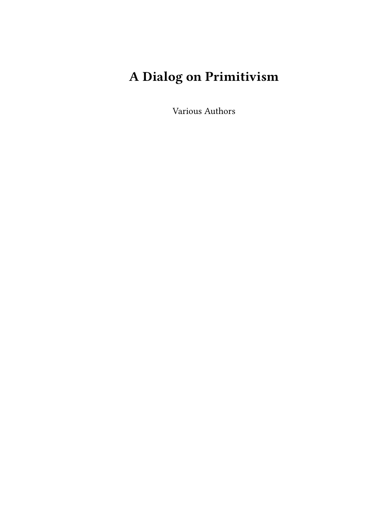# **A Dialog on Primitivism**

Various Authors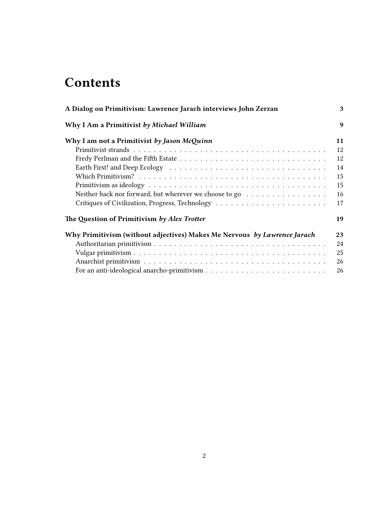## **Contents**

| A Dialog on Primitivism: Lawrence Jarach interviews John Zerzan          | 3                |
|--------------------------------------------------------------------------|------------------|
| Why I Am a Primitivist by Michael William                                | $\boldsymbol{q}$ |
| Why I am not a Primitivist by Jason McQuinn                              | 11               |
|                                                                          | 12               |
|                                                                          | 12               |
|                                                                          | 14               |
|                                                                          | 15               |
|                                                                          | 15               |
| Neither back nor forward, but wherever we choose to go                   | 16               |
|                                                                          | 17               |
| The Question of Primitivism by Alex Trotter                              | 19               |
| Why Primitivism (without adjectives) Makes Me Nervous by Lawrence Jarach | 23               |
|                                                                          | 24               |
|                                                                          | 25               |
|                                                                          | 26               |
|                                                                          | 26               |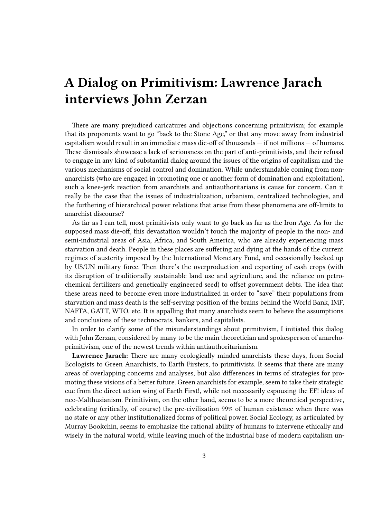## <span id="page-2-0"></span>**A Dialog on Primitivism: Lawrence Jarach interviews John Zerzan**

There are many prejudiced caricatures and objections concerning primitivism; for example that its proponents want to go "back to the Stone Age," or that any move away from industrial capitalism would result in an immediate mass die-off of thousands — if not millions — of humans. These dismissals showcase a lack of seriousness on the part of anti-primitivists, and their refusal to engage in any kind of substantial dialog around the issues of the origins of capitalism and the various mechanisms of social control and domination. While understandable coming from nonanarchists (who are engaged in promoting one or another form of domination and exploitation), such a knee-jerk reaction from anarchists and antiauthoritarians is cause for concern. Can it really be the case that the issues of industrialization, urbanism, centralized technologies, and the furthering of hierarchical power relations that arise from these phenomena are off-limits to anarchist discourse?

As far as I can tell, most primitivists only want to go back as far as the Iron Age. As for the supposed mass die-off, this devastation wouldn't touch the majority of people in the non- and semi-industrial areas of Asia, Africa, and South America, who are already experiencing mass starvation and death. People in these places are suffering and dying at the hands of the current regimes of austerity imposed by the International Monetary Fund, and occasionally backed up by US/UN military force. Then there's the overproduction and exporting of cash crops (with its disruption of traditionally sustainable land use and agriculture, and the reliance on petrochemical fertilizers and genetically engineered seed) to offset government debts. The idea that these areas need to become even more industrialized in order to "save" their populations from starvation and mass death is the self-serving position of the brains behind the World Bank, IMF, NAFTA, GATT, WTO, etc. It is appalling that many anarchists seem to believe the assumptions and conclusions of these technocrats, bankers, and capitalists.

In order to clarify some of the misunderstandings about primitivism, I initiated this dialog with John Zerzan, considered by many to be the main theoretician and spokesperson of anarchoprimitivism, one of the newest trends within antiauthoritarianism.

**Lawrence Jarach:** There are many ecologically minded anarchists these days, from Social Ecologists to Green Anarchists, to Earth Firsters, to primitivists. It seems that there are many areas of overlapping concerns and analyses, but also differences in terms of strategies for promoting these visions of a better future. Green anarchists for example, seem to take their strategic cue from the direct action wing of Earth First!, while not necessarily espousing the EF! ideas of neo-Malthusianism. Primitivism, on the other hand, seems to be a more theoretical perspective, celebrating (critically, of course) the pre-civilization 99% of human existence when there was no state or any other institutionalized forms of political power. Social Ecology, as articulated by Murray Bookchin, seems to emphasize the rational ability of humans to intervene ethically and wisely in the natural world, while leaving much of the industrial base of modern capitalism un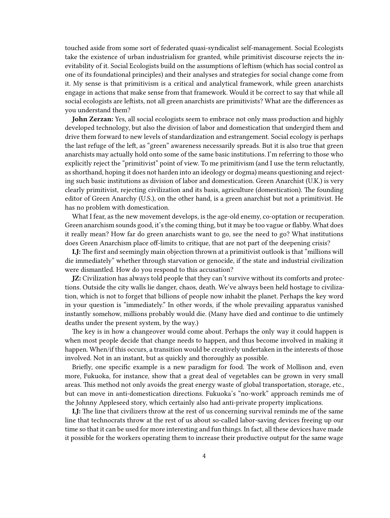touched aside from some sort of federated quasi-syndicalist self-management. Social Ecologists take the existence of urban industrialism for granted, while primitivist discourse rejects the inevitability of it. Social Ecologists build on the assumptions of leftism (which has social control as one of its foundational principles) and their analyses and strategies for social change come from it. My sense is that primitivism is a critical and analytical framework, while green anarchists engage in actions that make sense from that framework. Would it be correct to say that while all social ecologists are leftists, not all green anarchists are primitivists? What are the differences as you understand them?

**John Zerzan:** Yes, all social ecologists seem to embrace not only mass production and highly developed technology, but also the division of labor and domestication that undergird them and drive them forward to new levels of standardization and estrangement. Social ecology is perhaps the last refuge of the left, as "green" awareness necessarily spreads. But it is also true that green anarchists may actually hold onto some of the same basic institutions. I'm referring to those who explicitly reject the "primitivist" point of view. To me primitivism (and I use the term reluctantly, as shorthand, hoping it does not harden into an ideology or dogma) means questioning and rejecting such basic institutions as division of labor and domestication. Green Anarchist (U.K.) is very clearly primitivist, rejecting civilization and its basis, agriculture (domestication). The founding editor of Green Anarchy (U.S.), on the other hand, is a green anarchist but not a primitivist. He has no problem with domestication.

What I fear, as the new movement develops, is the age-old enemy, co-optation or recuperation. Green anarchism sounds good, it's the coming thing, but it may be too vague or flabby. What does it really mean? How far do green anarchists want to go, see the need to go? What institutions does Green Anarchism place off-limits to critique, that are not part of the deepening crisis?

**LJ:** The first and seemingly main objection thrown at a primitivist outlook is that "millions will die immediately" whether through starvation or genocide, if the state and industrial civilization were dismantled. How do you respond to this accusation?

**JZ:** Civilization has always told people that they can't survive without its comforts and protections. Outside the city walls lie danger, chaos, death. We've always been held hostage to civilization, which is not to forget that billions of people now inhabit the planet. Perhaps the key word in your question is "immediately." In other words, if the whole prevailing apparatus vanished instantly somehow, millions probably would die. (Many have died and continue to die untimely deaths under the present system, by the way.)

The key is in how a changeover would come about. Perhaps the only way it could happen is when most people decide that change needs to happen, and thus become involved in making it happen. When/if this occurs, a transition would be creatively undertaken in the interests of those involved. Not in an instant, but as quickly and thoroughly as possible.

Briefly, one specific example is a new paradigm for food. The work of Mollison and, even more, Fukuoka, for instance, show that a great deal of vegetables can be grown in very small areas. This method not only avoids the great energy waste of global transportation, storage, etc., but can move in anti-domestication directions. Fukuoka's "no-work" approach reminds me of the Johnny Appleseed story, which certainly also had anti-private property implications.

**LJ:** The line that civilizers throw at the rest of us concerning survival reminds me of the same line that technocrats throw at the rest of us about so-called labor-saving devices freeing up our time so that it can be used for more interesting and fun things. In fact, all these devices have made it possible for the workers operating them to increase their productive output for the same wage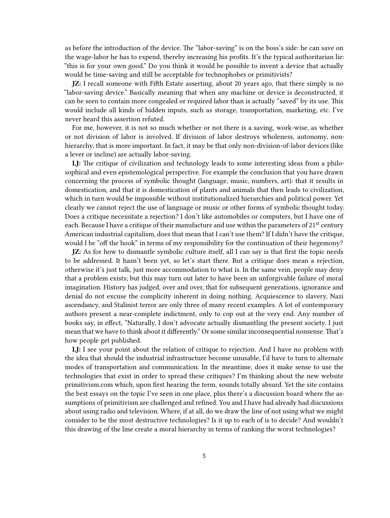as before the introduction of the device. The "labor-saving" is on the boss's side: he can save on the wage-labor he has to expend, thereby increasing his profits. It's the typical authoritarian lie: "this is for your own good." Do you think it would be possible to invent a device that actually would be time-saving and still be acceptable for technophobes or primitivists?

**JZ:** I recall someone with Fifth Estate asserting, about 20 years ago, that there simply is no "labor-saving device." Basically meaning that when any machine or device is deconstructed, it can be seen to contain more congealed or required labor than is actually "saved" by its use. This would include all kinds of hidden inputs, such as storage, transportation, marketing, etc. I've never heard this assertion refuted.

For me, however, it is not so much whether or not there is a saving, work-wise, as whether or not division of labor is involved. If division of labor destroys wholeness, autonomy, nonhierarchy, that is more important. In fact, it may be that only non-division-of-labor devices (like a lever or incline) are actually labor-saving.

**LJ:** The critique of civilization and technology leads to some interesting ideas from a philosophical and even epistemological perspective. For example the conclusion that you have drawn concerning the process of symbolic thought (language, music, numbers, art): that it results in domestication, and that it is domestication of plants and animals that then leads to civilization, which in turn would be impossible without institutionalized hierarchies and political power. Yet clearly we cannot reject the use of language or music or other forms of symbolic thought today. Does a critique necessitate a rejection? I don't like automobiles or computers, but I have one of each. Because I have a critique of their manufacture and use within the parameters of  $21^{st}$  century American industrial capitalism, does that mean that I can't use them? If I didn't have the critique, would I be "off the hook" in terms of my responsibility for the continuation of their hegemony?

**JZ:** As for how to dismantle symbolic culture itself, all I can say is that first the topic needs to be addressed. It hasn't been yet, so let's start there. But a critique does mean a rejection, otherwise it's just talk, just more accommodation to what is. In the same vein, people may deny that a problem exists; but this may turn out later to have been an unforgivable failure of moral imagination. History has judged, over and over, that for subsequent generations, ignorance and denial do not excuse the complicity inherent in doing nothing. Acquiescence to slavery, Nazi ascendancy, and Stalinist terror are only three of many recent examples. A lot of contemporary authors present a near-complete indictment, only to cop out at the very end. Any number of books say, in effect, "Naturally, I don't advocate actually dismantling the present society. I just mean that we have to think about it differently." Or some similar inconsequential nonsense. That's how people get published.

**LJ:** I see your point about the relation of critique to rejection. And I have no problem with the idea that should the industrial infrastructure become unusable, I'd have to turn to alternate modes of transportation and communication. In the meantime, does it make sense to use the technologies that exist in order to spread these critiques? I'm thinking about the new website primitivism.com which, upon first hearing the term, sounds totally absurd. Yet the site contains the best essays on the topic I've seen in one place, plus there's a discussion board where the assumptions of primitivism are challenged and refined. You and I have had already had discussions about using radio and television. Where, if at all, do we draw the line of not using what we might consider to be the most destructive technologies? Is it up to each of is to decide? And wouldn't this drawing of the line create a moral hierarchy in terms of ranking the worst technologies?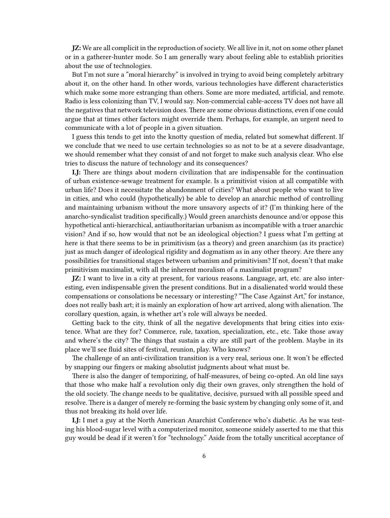**JZ:** We are all complicit in the reproduction of society. We all live in it, not on some other planet or in a gatherer-hunter mode. So I am generally wary about feeling able to establish priorities about the use of technologies.

But I'm not sure a "moral hierarchy" is involved in trying to avoid being completely arbitrary about it, on the other hand. In other words, various technologies have different characteristics which make some more estranging than others. Some are more mediated, artificial, and remote. Radio is less colonizing than TV, I would say. Non-commercial cable-access TV does not have all the negatives that network television does. There are some obvious distinctions, even if one could argue that at times other factors might override them. Perhaps, for example, an urgent need to communicate with a lot of people in a given situation.

I guess this tends to get into the knotty question of media, related but somewhat different. If we conclude that we need to use certain technologies so as not to be at a severe disadvantage, we should remember what they consist of and not forget to make such analysis clear. Who else tries to discuss the nature of technology and its consequences?

**LJ:** There are things about modern civilization that are indispensable for the continuation of urban existence-sewage treatment for example. Is a primitivist vision at all compatible with urban life? Does it necessitate the abandonment of cities? What about people who want to live in cities, and who could (hypothetically) be able to develop an anarchic method of controlling and maintaining urbanism without the more unsavory aspects of it? (I'm thinking here of the anarcho-syndicalist tradition specifically.) Would green anarchists denounce and/or oppose this hypothetical anti-hierarchical, antiauthoritarian urbanism as incompatible with a truer anarchic vision? And if so, how would that not be an ideological objection? I guess what I'm getting at here is that there seems to be in primitivism (as a theory) and green anarchism (as its practice) just as much danger of ideological rigidity and dogmatism as in any other theory. Are there any possibilities for transitional stages between urbanism and primitivism? If not, doesn't that make primitivism maximalist, with all the inherent moralism of a maximalist program?

**JZ:** I want to live in a city at present, for various reasons. Language, art, etc. are also interesting, even indispensable given the present conditions. But in a disalienated world would these compensations or consolations be necessary or interesting? "The Case Against Art," for instance, does not really bash art; it is mainly an exploration of how art arrived, along with alienation. The corollary question, again, is whether art's role will always be needed.

Getting back to the city, think of all the negative developments that bring cities into existence. What are they for? Commerce, rule, taxation, specialization, etc., etc. Take those away and where's the city? The things that sustain a city are still part of the problem. Maybe in its place we'll see fluid sites of festival, reunion, play. Who knows?

The challenge of an anti-civilization transition is a very real, serious one. It won't be effected by snapping our fingers or making absolutist judgments about what must be.

There is also the danger of temporizing, of half-measures, of being co-opted. An old line says that those who make half a revolution only dig their own graves, only strengthen the hold of the old society. The change needs to be qualitative, decisive, pursued with all possible speed and resolve. There is a danger of merely re-forming the basic system by changing only some of it, and thus not breaking its hold over life.

**LJ:** I met a guy at the North American Anarchist Conference who's diabetic. As he was testing his blood-sugar level with a computerized monitor, someone snidely asserted to me that this guy would be dead if it weren't for "technology." Aside from the totally uncritical acceptance of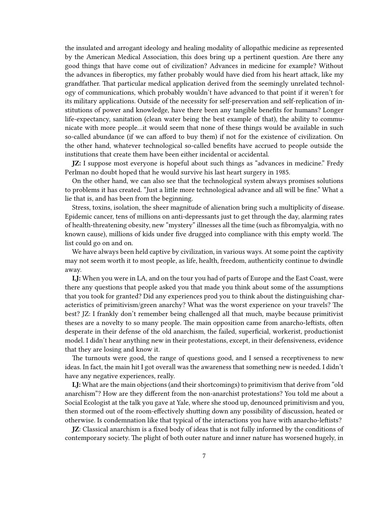the insulated and arrogant ideology and healing modality of allopathic medicine as represented by the American Medical Association, this does bring up a pertinent question. Are there any good things that have come out of civilization? Advances in medicine for example? Without the advances in fiberoptics, my father probably would have died from his heart attack, like my grandfather. That particular medical application derived from the seemingly unrelated technology of communications, which probably wouldn't have advanced to that point if it weren't for its military applications. Outside of the necessity for self-preservation and self-replication of institutions of power and knowledge, have there been any tangible benefits for humans? Longer life-expectancy, sanitation (clean water being the best example of that), the ability to communicate with more people…it would seem that none of these things would be available in such so-called abundance (if we can afford to buy them) if not for the existence of civilization. On the other hand, whatever technological so-called benefits have accrued to people outside the institutions that create them have been either incidental or accidental.

**JZ:** I suppose most everyone is hopeful about such things as "advances in medicine." Fredy Perlman no doubt hoped that he would survive his last heart surgery in 1985.

On the other hand, we can also see that the technological system always promises solutions to problems it has created. "Just a little more technological advance and all will be fine." What a lie that is, and has been from the beginning.

Stress, toxins, isolation, the sheer magnitude of alienation bring such a multiplicity of disease. Epidemic cancer, tens of millions on anti-depressants just to get through the day, alarming rates of health-threatening obesity, new "mystery" illnesses all the time (such as fibromyalgia, with no known cause), millions of kids under five drugged into compliance with this empty world. The list could go on and on.

We have always been held captive by civilization, in various ways. At some point the captivity may not seem worth it to most people, as life, health, freedom, authenticity continue to dwindle away.

**LJ:** When you were in LA, and on the tour you had of parts of Europe and the East Coast, were there any questions that people asked you that made you think about some of the assumptions that you took for granted? Did any experiences prod you to think about the distinguishing characteristics of primitivism/green anarchy? What was the worst experience on your travels? The best? JZ: I frankly don't remember being challenged all that much, maybe because primitivist theses are a novelty to so many people. The main opposition came from anarcho-leftists, often desperate in their defense of the old anarchism, the failed, superficial, workerist, productionist model. I didn't hear anything new in their protestations, except, in their defensiveness, evidence that they are losing and know it.

The turnouts were good, the range of questions good, and I sensed a receptiveness to new ideas. In fact, the main hit I got overall was the awareness that something new is needed. I didn't have any negative experiences, really.

**LJ:** What are the main objections (and their shortcomings) to primitivism that derive from "old anarchism"? How are they different from the non-anarchist protestations? You told me about a Social Ecologist at the talk you gave at Yale, where she stood up, denounced primitivism and you, then stormed out of the room-effectively shutting down any possibility of discussion, heated or otherwise. Is condemnation like that typical of the interactions you have with anarcho-leftists?

**JZ**: Classical anarchism is a fixed body of ideas that is not fully informed by the conditions of contemporary society. The plight of both outer nature and inner nature has worsened hugely, in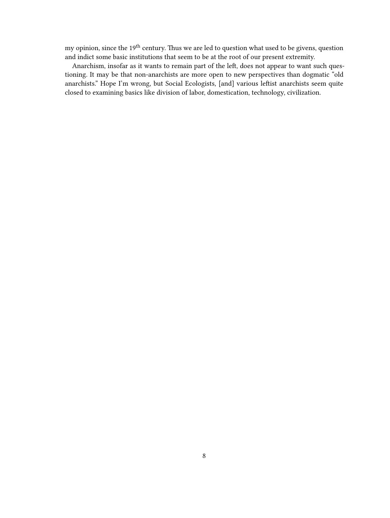my opinion, since the 19<sup>th</sup> century. Thus we are led to question what used to be givens, question and indict some basic institutions that seem to be at the root of our present extremity.

Anarchism, insofar as it wants to remain part of the left, does not appear to want such questioning. It may be that non-anarchists are more open to new perspectives than dogmatic "old anarchists." Hope I'm wrong, but Social Ecologists, [and] various leftist anarchists seem quite closed to examining basics like division of labor, domestication, technology, civilization.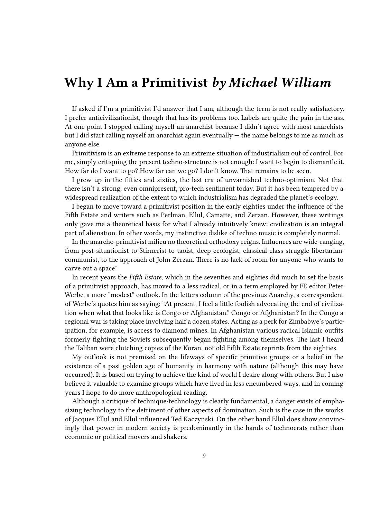### <span id="page-8-0"></span>**Why I Am a Primitivist** *by Michael William*

If asked if I'm a primitivist I'd answer that I am, although the term is not really satisfactory. I prefer anticivilizationist, though that has its problems too. Labels are quite the pain in the ass. At one point I stopped calling myself an anarchist because I didn't agree with most anarchists but I did start calling myself an anarchist again eventually — the name belongs to me as much as anyone else.

Primitivism is an extreme response to an extreme situation of industrialism out of control. For me, simply critiquing the present techno-structure is not enough: I want to begin to dismantle it. How far do I want to go? How far can we go? I don't know. That remains to be seen.

I grew up in the fifties and sixties, the last era of unvarnished techno-optimism. Not that there isn't a strong, even omnipresent, pro-tech sentiment today. But it has been tempered by a widespread realization of the extent to which industrialism has degraded the planet's ecology.

I began to move toward a primitivist position in the early eighties under the influence of the Fifth Estate and writers such as Perlman, Ellul, Camatte, and Zerzan. However, these writings only gave me a theoretical basis for what I already intuitively knew: civilization is an integral part of alienation. In other words, my instinctive dislike of techno music is completely normal.

In the anarcho-primitivist milieu no theoretical orthodoxy reigns. Influences are wide-ranging, from post-situationist to Stirnerist to taoist, deep ecologist, classical class struggle libertariancommunist, to the approach of John Zerzan. There is no lack of room for anyone who wants to carve out a space!

In recent years the *Fifth Estate*, which in the seventies and eighties did much to set the basis of a primitivist approach, has moved to a less radical, or in a term employed by FE editor Peter Werbe, a more "modest" outlook. In the letters column of the previous Anarchy, a correspondent of Werbe's quotes him as saying: "At present, I feel a little foolish advocating the end of civilization when what that looks like is Congo or Afghanistan." Congo or Afghanistan? In the Congo a regional war is taking place involving half a dozen states. Acting as a perk for Zimbabwe's participation, for example, is access to diamond mines. In Afghanistan various radical Islamic outfits formerly fighting the Soviets subsequently began fighting among themselves. The last I heard the Taliban were clutching copies of the Koran, not old Fifth Estate reprints from the eighties.

My outlook is not premised on the lifeways of specific primitive groups or a belief in the existence of a past golden age of humanity in harmony with nature (although this may have occurred). It is based on trying to achieve the kind of world I desire along with others. But I also believe it valuable to examine groups which have lived in less encumbered ways, and in coming years I hope to do more anthropological reading.

Although a critique of technique/technology is clearly fundamental, a danger exists of emphasizing technology to the detriment of other aspects of domination. Such is the case in the works of Jacques Ellul and Ellul influenced Ted Kaczynski. On the other hand Ellul does show convincingly that power in modern society is predominantly in the hands of technocrats rather than economic or political movers and shakers.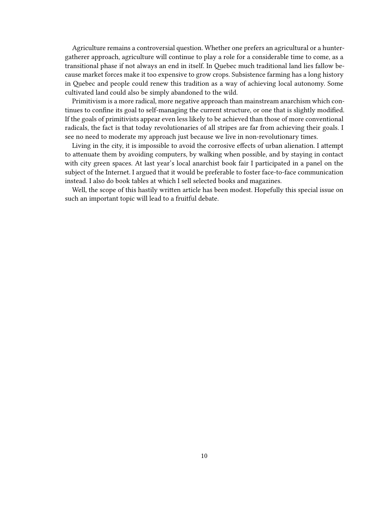Agriculture remains a controversial question. Whether one prefers an agricultural or a huntergatherer approach, agriculture will continue to play a role for a considerable time to come, as a transitional phase if not always an end in itself. In Quebec much traditional land lies fallow because market forces make it too expensive to grow crops. Subsistence farming has a long history in Quebec and people could renew this tradition as a way of achieving local autonomy. Some cultivated land could also be simply abandoned to the wild.

Primitivism is a more radical, more negative approach than mainstream anarchism which continues to confine its goal to self-managing the current structure, or one that is slightly modified. If the goals of primitivists appear even less likely to be achieved than those of more conventional radicals, the fact is that today revolutionaries of all stripes are far from achieving their goals. I see no need to moderate my approach just because we live in non-revolutionary times.

Living in the city, it is impossible to avoid the corrosive effects of urban alienation. I attempt to attenuate them by avoiding computers, by walking when possible, and by staying in contact with city green spaces. At last year's local anarchist book fair I participated in a panel on the subject of the Internet. I argued that it would be preferable to foster face-to-face communication instead. I also do book tables at which I sell selected books and magazines.

Well, the scope of this hastily written article has been modest. Hopefully this special issue on such an important topic will lead to a fruitful debate.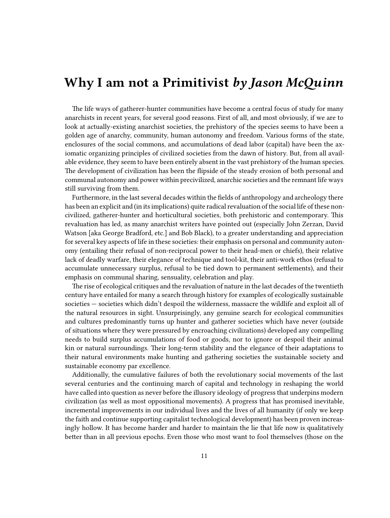### <span id="page-10-0"></span>**Why I am not a Primitivist** *by Jason McQuinn*

The life ways of gatherer-hunter communities have become a central focus of study for many anarchists in recent years, for several good reasons. First of all, and most obviously, if we are to look at actually-existing anarchist societies, the prehistory of the species seems to have been a golden age of anarchy, community, human autonomy and freedom. Various forms of the state, enclosures of the social commons, and accumulations of dead labor (capital) have been the axiomatic organizing principles of civilized societies from the dawn of history. But, from all available evidence, they seem to have been entirely absent in the vast prehistory of the human species. The development of civilization has been the flipside of the steady erosion of both personal and communal autonomy and power within precivilized, anarchic societies and the remnant life ways still surviving from them.

Furthermore, in the last several decades within the fields of anthropology and archeology there has been an explicit and (in its implications) quite radical revaluation of the social life of these noncivilized, gatherer-hunter and horticultural societies, both prehistoric and contemporary. This revaluation has led, as many anarchist writers have pointed out (especially John Zerzan, David Watson [aka George Bradford, etc.] and Bob Black), to a greater understanding and appreciation for several key aspects of life in these societies: their emphasis on personal and community autonomy (entailing their refusal of non-reciprocal power to their head-men or chiefs), their relative lack of deadly warfare, their elegance of technique and tool-kit, their anti-work ethos (refusal to accumulate unnecessary surplus, refusal to be tied down to permanent settlements), and their emphasis on communal sharing, sensuality, celebration and play.

The rise of ecological critiques and the revaluation of nature in the last decades of the twentieth century have entailed for many a search through history for examples of ecologically sustainable societies — societies which didn't despoil the wilderness, massacre the wildlife and exploit all of the natural resources in sight. Unsurprisingly, any genuine search for ecological communities and cultures predominantly turns up hunter and gatherer societies which have never (outside of situations where they were pressured by encroaching civilizations) developed any compelling needs to build surplus accumulations of food or goods, nor to ignore or despoil their animal kin or natural surroundings. Their long-term stability and the elegance of their adaptations to their natural environments make hunting and gathering societies the sustainable society and sustainable economy par excellence.

Additionally, the cumulative failures of both the revolutionary social movements of the last several centuries and the continuing march of capital and technology in reshaping the world have called into question as never before the illusory ideology of progress that underpins modern civilization (as well as most oppositional movements). A progress that has promised inevitable, incremental improvements in our individual lives and the lives of all humanity (if only we keep the faith and continue supporting capitalist technological development) has been proven increasingly hollow. It has become harder and harder to maintain the lie that life now is qualitatively better than in all previous epochs. Even those who most want to fool themselves (those on the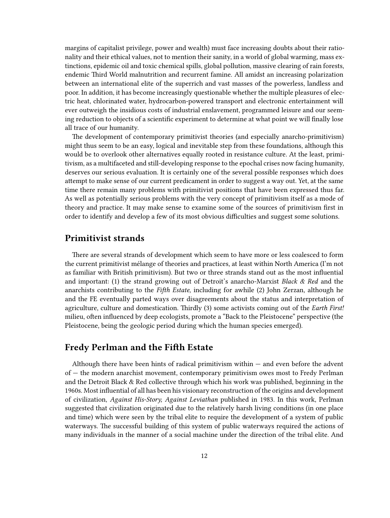margins of capitalist privilege, power and wealth) must face increasing doubts about their rationality and their ethical values, not to mention their sanity, in a world of global warming, mass extinctions, epidemic oil and toxic chemical spills, global pollution, massive clearing of rain forests, endemic Third World malnutrition and recurrent famine. All amidst an increasing polarization between an international elite of the superrich and vast masses of the powerless, landless and poor. In addition, it has become increasingly questionable whether the multiple pleasures of electric heat, chlorinated water, hydrocarbon-powered transport and electronic entertainment will ever outweigh the insidious costs of industrial enslavement, programmed leisure and our seeming reduction to objects of a scientific experiment to determine at what point we will finally lose all trace of our humanity.

The development of contemporary primitivist theories (and especially anarcho-primitivism) might thus seem to be an easy, logical and inevitable step from these foundations, although this would be to overlook other alternatives equally rooted in resistance culture. At the least, primitivism, as a multifaceted and still-developing response to the epochal crises now facing humanity, deserves our serious evaluation. It is certainly one of the several possible responses which does attempt to make sense of our current predicament in order to suggest a way out. Yet, at the same time there remain many problems with primitivist positions that have been expressed thus far. As well as potentially serious problems with the very concept of primitivism itself as a mode of theory and practice. It may make sense to examine some of the sources of primitivism first in order to identify and develop a few of its most obvious difficulties and suggest some solutions.

#### <span id="page-11-0"></span>**Primitivist strands**

There are several strands of development which seem to have more or less coalesced to form the current primitivist mélange of theories and practices, at least within North America (I'm not as familiar with British primitivism). But two or three strands stand out as the most influential and important: (1) the strand growing out of Detroit's anarcho-Marxist *Black & Red* and the anarchists contributing to the *Fifth Estate*, including for awhile (2) John Zerzan, although he and the FE eventually parted ways over disagreements about the status and interpretation of agriculture, culture and domestication. Thirdly (3) some activists coming out of the *Earth First!* milieu, often influenced by deep ecologists, promote a "Back to the Pleistocene" perspective (the Pleistocene, being the geologic period during which the human species emerged).

#### <span id="page-11-1"></span>**Fredy Perlman and the Fifth Estate**

Although there have been hints of radical primitivism within  $-$  and even before the advent of — the modern anarchist movement, contemporary primitivism owes most to Fredy Perlman and the Detroit Black & Red collective through which his work was published, beginning in the 1960s. Most influential of all has been his visionary reconstruction of the origins and development of civilization, *Against His-Story, Against Leviathan* published in 1983. In this work, Perlman suggested that civilization originated due to the relatively harsh living conditions (in one place and time) which were seen by the tribal elite to require the development of a system of public waterways. The successful building of this system of public waterways required the actions of many individuals in the manner of a social machine under the direction of the tribal elite. And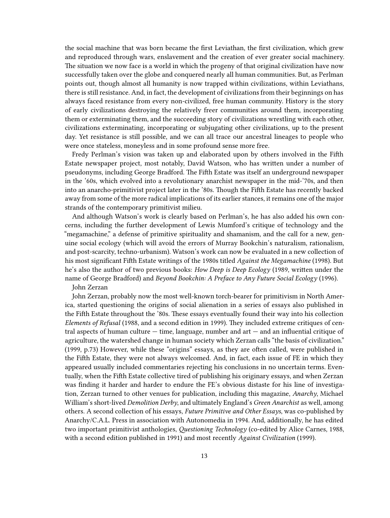the social machine that was born became the first Leviathan, the first civilization, which grew and reproduced through wars, enslavement and the creation of ever greater social machinery. The situation we now face is a world in which the progeny of that original civilization have now successfully taken over the globe and conquered nearly all human communities. But, as Perlman points out, though almost all humanity is now trapped within civilizations, within Leviathans, there is still resistance. And, in fact, the development of civilizations from their beginnings on has always faced resistance from every non-civilized, free human community. History is the story of early civilizations destroying the relatively freer communities around them, incorporating them or exterminating them, and the succeeding story of civilizations wrestling with each other, civilizations exterminating, incorporating or subjugating other civilizations, up to the present day. Yet resistance is still possible, and we can all trace our ancestral lineages to people who were once stateless, moneyless and in some profound sense more free.

Fredy Perlman's vision was taken up and elaborated upon by others involved in the Fifth Estate newspaper project, most notably, David Watson, who has written under a number of pseudonyms, including George Bradford. The Fifth Estate was itself an underground newspaper in the '60s, which evolved into a revolutionary anarchist newspaper in the mid-'70s, and then into an anarcho-primitivist project later in the '80s. Though the Fifth Estate has recently backed away from some of the more radical implications of its earlier stances, it remains one of the major strands of the contemporary primitivist milieu.

And although Watson's work is clearly based on Perlman's, he has also added his own concerns, including the further development of Lewis Mumford's critique of technology and the "megamachine," a defense of primitive spirituality and shamanism, and the call for a new, genuine social ecology (which will avoid the errors of Murray Bookchin's naturalism, rationalism, and post-scarcity, techno-urbanism). Watson's work can now be evaluated in a new collection of his most significant Fifth Estate writings of the 1980s titled *Against the Megamachine* (1998). But he's also the author of two previous books: *How Deep is Deep Ecology* (1989, written under the name of George Bradford) and *Beyond Bookchin: A Preface to Any Future Social Ecology* (1996).

John Zerzan

John Zerzan, probably now the most well-known torch-bearer for primitivism in North America, started questioning the origins of social alienation in a series of essays also published in the Fifth Estate throughout the '80s. These essays eventually found their way into his collection *Elements of Refusal* (1988, and a second edition in 1999). They included extreme critiques of central aspects of human culture  $-$  time, language, number and art  $-$  and an influential critique of agriculture, the watershed change in human society which Zerzan calls "the basis of civilization." (1999, p.73) However, while these "origins" essays, as they are often called, were published in the Fifth Estate, they were not always welcomed. And, in fact, each issue of FE in which they appeared usually included commentaries rejecting his conclusions in no uncertain terms. Eventually, when the Fifth Estate collective tired of publishing his originary essays, and when Zerzan was finding it harder and harder to endure the FE's obvious distaste for his line of investigation, Zerzan turned to other venues for publication, including this magazine, *Anarchy*, Michael William's short-lived *Demolition Derby*, and ultimately England's *Green Anarchist* as well, among others. A second collection of his essays, *Future Primitive and Other Essays*, was co-published by Anarchy/C.A.L. Press in association with Autonomedia in 1994. And, additionally, he has edited two important primitivist anthologies, *Questioning Technology* (co-edited by Alice Carnes, 1988, with a second edition published in 1991) and most recently *Against Civilization* (1999).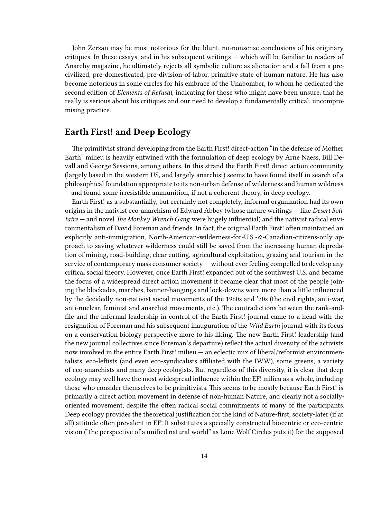John Zerzan may be most notorious for the blunt, no-nonsense conclusions of his originary critiques. In these essays, and in his subsequent writings — which will be familiar to readers of Anarchy magazine, he ultimately rejects all symbolic culture as alienation and a fall from a precivilized, pre-domesticated, pre-division-of-labor, primitive state of human nature. He has also become notorious in some circles for his embrace of the Unabomber, to whom he dedicated the second edition of *Elements of Refusal*, indicating for those who might have been unsure, that he really is serious about his critiques and our need to develop a fundamentally critical, uncompromising practice.

#### <span id="page-13-0"></span>**Earth First! and Deep Ecology**

The primitivist strand developing from the Earth First! direct-action "in the defense of Mother Earth" milieu is heavily entwined with the formulation of deep ecology by Arne Naess, Bill Devall and George Sessions, among others. In this strand the Earth First! direct action community (largely based in the western US, and largely anarchist) seems to have found itself in search of a philosophical foundation appropriate to its non-urban defense of wilderness and human wildness — and found some irresistible ammunition, if not a coherent theory, in deep ecology.

Earth First! as a substantially, but certainly not completely, informal organization had its own origins in the nativist eco-anarchism of Edward Abbey (whose nature writings — like *Desert Solitaire* — and novel *The Monkey Wrench Gang* were hugely influential) and the nativist radical environmentalism of David Foreman and friends. In fact, the original Earth First! often maintained an explicitly anti-immigration, North-American-wilderness-for-U.S.-&-Canadian-citizens-only approach to saving whatever wilderness could still be saved from the increasing human depredation of mining, road-building, clear cutting, agricultural exploitation, grazing and tourism in the service of contemporary mass consumer society — without ever feeling compelled to develop any critical social theory. However, once Earth First! expanded out of the southwest U.S. and became the focus of a widespread direct action movement it became clear that most of the people joining the blockades, marches, banner-hangings and lock-downs were more than a little influenced by the decidedly non-nativist social movements of the 1960s and '70s (the civil rights, anti-war, anti-nuclear, feminist and anarchist movements, etc.). The contradictions between the rank-andfile and the informal leadership in control of the Earth First! journal came to a head with the resignation of Foreman and his subsequent inauguration of the *Wild Earth* journal with its focus on a conservation biology perspective more to his liking. The new Earth First! leadership (and the new journal collectives since Foreman's departure) reflect the actual diversity of the activists now involved in the entire Earth First! milieu — an eclectic mix of liberal/reformist environmentalists, eco-leftists (and even eco-syndicalists affiliated with the IWW), some greens, a variety of eco-anarchists and many deep ecologists. But regardless of this diversity, it is clear that deep ecology may well have the most widespread influence within the EF! milieu as a whole, including those who consider themselves to be primitivists. This seems to be mostly because Earth First! is primarily a direct action movement in defense of non-human Nature, and clearly not a sociallyoriented movement, despite the often radical social commitments of many of the participants. Deep ecology provides the theoretical justification for the kind of Nature-first, society-later (if at all) attitude often prevalent in EF! It substitutes a specially constructed biocentric or eco-centric vision ("the perspective of a unified natural world" as Lone Wolf Circles puts it) for the supposed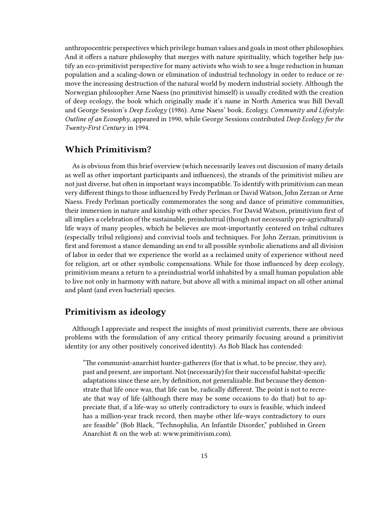anthropocentric perspectives which privilege human values and goals in most other philosophies. And it offers a nature philosophy that merges with nature spirituality, which together help justify an eco-primitivist perspective for many activists who wish to see a huge reduction in human population and a scaling-down or elimination of industrial technology in order to reduce or remove the increasing destruction of the natural world by modern industrial society. Although the Norwegian philosopher Arne Naess (no primitivist himself) is usually credited with the creation of deep ecology, the book which originally made it's name in North America was Bill Devall and George Session's *Deep Ecology* (1986). Arne Naess' book, *Ecology, Community and Lifestyle: Outline of an Ecosophy*, appeared in 1990, while George Sessions contributed *Deep Ecology for the Twenty-First Century* in 1994.

#### <span id="page-14-0"></span>**Which Primitivism?**

As is obvious from this brief overview (which necessarily leaves out discussion of many details as well as other important participants and influences), the strands of the primitivist milieu are not just diverse, but often in important ways incompatible. To identify with primitivism can mean very different things to those influenced by Fredy Perlman or David Watson, John Zerzan or Arne Naess. Fredy Perlman poetically commemorates the song and dance of primitive communities, their immersion in nature and kinship with other species. For David Watson, primitivism first of all implies a celebration of the sustainable, preindustrial (though not necessarily pre-agricultural) life ways of many peoples, which he believes are most-importantly centered on tribal cultures (especially tribal religions) and convivial tools and techniques. For John Zerzan, primitivism is first and foremost a stance demanding an end to all possible symbolic alienations and all division of labor in order that we experience the world as a reclaimed unity of experience without need for religion, art or other symbolic compensations. While for those influenced by deep ecology, primitivism means a return to a preindustrial world inhabited by a small human population able to live not only in harmony with nature, but above all with a minimal impact on all other animal and plant (and even bacterial) species.

#### <span id="page-14-1"></span>**Primitivism as ideology**

Although I appreciate and respect the insights of most primitivist currents, there are obvious problems with the formulation of any critical theory primarily focusing around a primitivist identity (or any other positively conceived identity). As Bob Black has contended:

"The communist-anarchist hunter-gatherers (for that is what, to be precise, they are), past and present, are important. Not (necessarily) for their successful habitat-specific adaptations since these are, by definition, not generalizable. But because they demonstrate that life once was, that life can be, radically different. The point is not to recreate that way of life (although there may be some occasions to do that) but to appreciate that, if a life-way so utterly contradictory to ours is feasible, which indeed has a million-year track record, then maybe other life-ways contradictory to ours are feasible" (Bob Black, "Technophilia, An Infantile Disorder," published in Green Anarchist & on the web at: www.primitivism.com).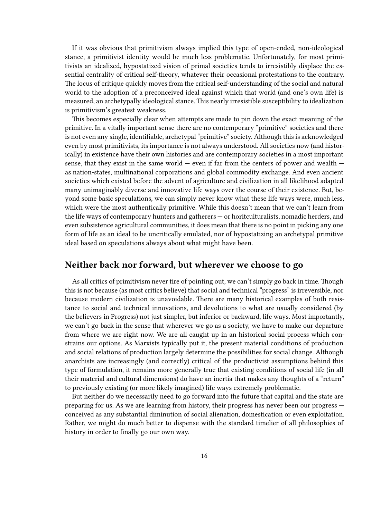If it was obvious that primitivism always implied this type of open-ended, non-ideological stance, a primitivist identity would be much less problematic. Unfortunately, for most primitivists an idealized, hypostatized vision of primal societies tends to irresistibly displace the essential centrality of critical self-theory, whatever their occasional protestations to the contrary. The locus of critique quickly moves from the critical self-understanding of the social and natural world to the adoption of a preconceived ideal against which that world (and one's own life) is measured, an archetypally ideological stance. This nearly irresistible susceptibility to idealization is primitivism's greatest weakness.

This becomes especially clear when attempts are made to pin down the exact meaning of the primitive. In a vitally important sense there are no contemporary "primitive" societies and there is not even any single, identifiable, archetypal "primitive" society. Although this is acknowledged even by most primitivists, its importance is not always understood. All societies now (and historically) in existence have their own histories and are contemporary societies in a most important sense, that they exist in the same world  $-$  even if far from the centers of power and wealth  $$ as nation-states, multinational corporations and global commodity exchange. And even ancient societies which existed before the advent of agriculture and civilization in all likelihood adapted many unimaginably diverse and innovative life ways over the course of their existence. But, beyond some basic speculations, we can simply never know what these life ways were, much less, which were the most authentically primitive. While this doesn't mean that we can't learn from the life ways of contemporary hunters and gatherers — or horitculturalists, nomadic herders, and even subsistence agricultural communities, it does mean that there is no point in picking any one form of life as an ideal to be uncritically emulated, nor of hypostatizing an archetypal primitive ideal based on speculations always about what might have been.

#### <span id="page-15-0"></span>**Neither back nor forward, but wherever we choose to go**

As all critics of primitivism never tire of pointing out, we can't simply go back in time. Though this is not because (as most critics believe) that social and technical "progress" is irreversible, nor because modern civilization is unavoidable. There are many historical examples of both resistance to social and technical innovations, and devolutions to what are usually considered (by the believers in Progress) not just simpler, but inferior or backward, life ways. Most importantly, we can't go back in the sense that wherever we go as a society, we have to make our departure from where we are right now. We are all caught up in an historical social process which constrains our options. As Marxists typically put it, the present material conditions of production and social relations of production largely determine the possibilities for social change. Although anarchists are increasingly (and correctly) critical of the productivist assumptions behind this type of formulation, it remains more generally true that existing conditions of social life (in all their material and cultural dimensions) do have an inertia that makes any thoughts of a "return" to previously existing (or more likely imagined) life ways extremely problematic.

But neither do we necessarily need to go forward into the future that capital and the state are preparing for us. As we are learning from history, their progress has never been our progress conceived as any substantial diminution of social alienation, domestication or even exploitation. Rather, we might do much better to dispense with the standard timelier of all philosophies of history in order to finally go our own way.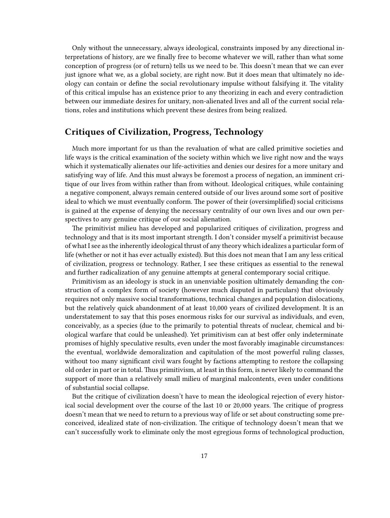Only without the unnecessary, always ideological, constraints imposed by any directional interpretations of history, are we finally free to become whatever we will, rather than what some conception of progress (or of return) tells us we need to be. This doesn't mean that we can ever just ignore what we, as a global society, are right now. But it does mean that ultimately no ideology can contain or define the social revolutionary impulse without falsifying it. The vitality of this critical impulse has an existence prior to any theorizing in each and every contradiction between our immediate desires for unitary, non-alienated lives and all of the current social relations, roles and institutions which prevent these desires from being realized.

#### <span id="page-16-0"></span>**Critiques of Civilization, Progress, Technology**

Much more important for us than the revaluation of what are called primitive societies and life ways is the critical examination of the society within which we live right now and the ways which it systematically alienates our life-activities and denies our desires for a more unitary and satisfying way of life. And this must always be foremost a process of negation, an imminent critique of our lives from within rather than from without. Ideological critiques, while containing a negative component, always remain centered outside of our lives around some sort of positive ideal to which we must eventually conform. The power of their (oversimplified) social criticisms is gained at the expense of denying the necessary centrality of our own lives and our own perspectives to any genuine critique of our social alienation.

The primitivist milieu has developed and popularized critiques of civilization, progress and technology and that is its most important strength. I don't consider myself a primitivist because of what I see as the inherently ideological thrust of any theory which idealizes a particular form of life (whether or not it has ever actually existed). But this does not mean that I am any less critical of civilization, progress or technology. Rather, I see these critiques as essential to the renewal and further radicalization of any genuine attempts at general contemporary social critique.

Primitivism as an ideology is stuck in an unenviable position ultimately demanding the construction of a complex form of society (however much disputed in particulars) that obviously requires not only massive social transformations, technical changes and population dislocations, but the relatively quick abandonment of at least 10,000 years of civilized development. It is an understatement to say that this poses enormous risks for our survival as individuals, and even, conceivably, as a species (due to the primarily to potential threats of nuclear, chemical and biological warfare that could be unleashed). Yet primitivism can at best offer only indeterminate promises of highly speculative results, even under the most favorably imaginable circumstances: the eventual, worldwide demoralization and capitulation of the most powerful ruling classes, without too many significant civil wars fought by factions attempting to restore the collapsing old order in part or in total. Thus primitivism, at least in this form, is never likely to command the support of more than a relatively small milieu of marginal malcontents, even under conditions of substantial social collapse.

But the critique of civilization doesn't have to mean the ideological rejection of every historical social development over the course of the last 10 or 20,000 years. The critique of progress doesn't mean that we need to return to a previous way of life or set about constructing some preconceived, idealized state of non-civilization. The critique of technology doesn't mean that we can't successfully work to eliminate only the most egregious forms of technological production,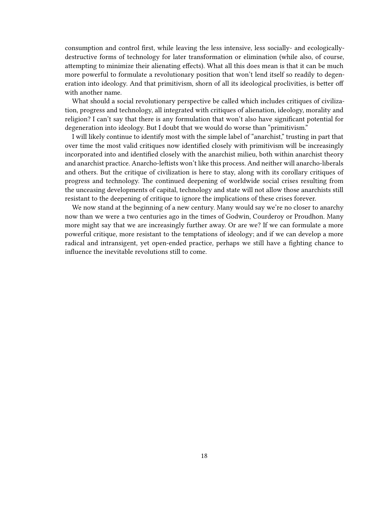consumption and control first, while leaving the less intensive, less socially- and ecologicallydestructive forms of technology for later transformation or elimination (while also, of course, attempting to minimize their alienating effects). What all this does mean is that it can be much more powerful to formulate a revolutionary position that won't lend itself so readily to degeneration into ideology. And that primitivism, shorn of all its ideological proclivities, is better off with another name.

What should a social revolutionary perspective be called which includes critiques of civilization, progress and technology, all integrated with critiques of alienation, ideology, morality and religion? I can't say that there is any formulation that won't also have significant potential for degeneration into ideology. But I doubt that we would do worse than "primitivism."

I will likely continue to identify most with the simple label of "anarchist," trusting in part that over time the most valid critiques now identified closely with primitivism will be increasingly incorporated into and identified closely with the anarchist milieu, both within anarchist theory and anarchist practice. Anarcho-leftists won't like this process. And neither will anarcho-liberals and others. But the critique of civilization is here to stay, along with its corollary critiques of progress and technology. The continued deepening of worldwide social crises resulting from the unceasing developments of capital, technology and state will not allow those anarchists still resistant to the deepening of critique to ignore the implications of these crises forever.

We now stand at the beginning of a new century. Many would say we're no closer to anarchy now than we were a two centuries ago in the times of Godwin, Courderoy or Proudhon. Many more might say that we are increasingly further away. Or are we? If we can formulate a more powerful critique, more resistant to the temptations of ideology; and if we can develop a more radical and intransigent, yet open-ended practice, perhaps we still have a fighting chance to influence the inevitable revolutions still to come.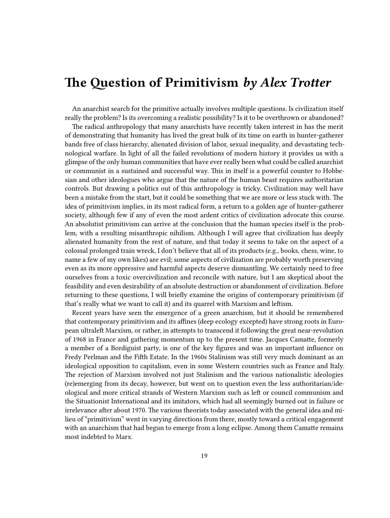### <span id="page-18-0"></span>**The Question of Primitivism** *by Alex Trotter*

An anarchist search for the primitive actually involves multiple questions. Is civilization itself really the problem? Is its overcoming a realistic possibility? Is it to be overthrown or abandoned?

The radical anthropology that many anarchists have recently taken interest in has the merit of demonstrating that humanity has lived the great bulk of its time on earth in hunter-gatherer bands free of class hierarchy, alienated division of labor, sexual inequality, and devastating technological warfare. In light of all the failed revolutions of modern history it provides us with a glimpse of the only human communities that have ever really been what could be called anarchist or communist in a sustained and successful way. This in itself is a powerful counter to Hobbesian and other ideologues who argue that the nature of the human beast requires authoritarian controls. But drawing a politics out of this anthropology is tricky. Civilization may well have been a mistake from the start, but it could be something that we are more or less stuck with. The idea of primitivism implies, in its most radical form, a return to a golden age of hunter-gatherer society, although few if any of even the most ardent critics of civilization advocate this course. An absolutist primitivism can arrive at the conclusion that the human species itself is the problem, with a resulting misanthropic nihilism. Although I will agree that civilization has deeply alienated humanity from the rest of nature, and that today it seems to take on the aspect of a colossal prolonged train wreck, I don't believe that all of its products (e.g., books, chess, wine, to name a few of my own likes) are evil; some aspects of civilization are probably worth preserving even as its more oppressive and harmful aspects deserve dismantling. We certainly need to free ourselves from a toxic overcivilization and reconcile with nature, but I am skeptical about the feasibility and even desirability of an absolute destruction or abandonment of civilization. Before returning to these questions, I will briefly examine the origins of contemporary primitivism (if that's really what we want to call it) and its quarrel with Marxism and leftism.

Recent years have seen the emergence of a green anarchism, but it should be remembered that contemporary primitivism and its affines (deep ecology excepted) have strong roots in European ultraleft Marxism, or rather, in attempts to transcend it following the great near-revolution of 1968 in France and gathering momentum up to the present time. Jacques Camatte, formerly a member of a Bordiguist party, is one of the key figures and was an important influence on Fredy Perlman and the Fifth Estate. In the 1960s Stalinism was still very much dominant as an ideological opposition to capitalism, even in some Western countries such as France and Italy. The rejection of Marxism involved not just Stalinism and the various nationalistic ideologies (re)emerging from its decay, however, but went on to question even the less authoritarian/ideological and more critical strands of Western Marxism such as left or council communism and the Situationist International and its imitators, which had all seemingly burned out in failure or irrelevance after about 1970. The various theorists today associated with the general idea and milieu of "primitivism" went in varying directions from there, mostly toward a critical engagement with an anarchism that had begun to emerge from a long eclipse. Among them Camatte remains most indebted to Marx.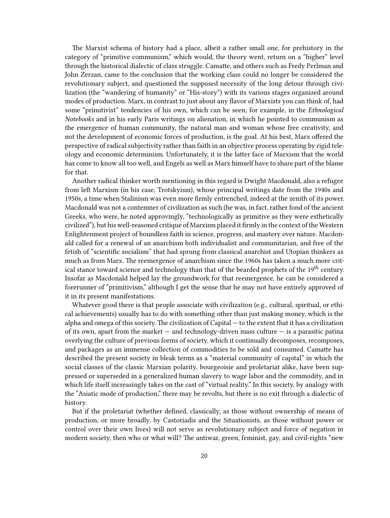The Marxist schema of history had a place, albeit a rather small one, for prehistory in the category of "primitive communism," which would, the theory went, return on a "higher" level through the historical dialectic of class struggle. Camatte, and others such as Fredy Perlman and John Zerzan, came to the conclusion that the working class could no longer be considered the revolutionary subject, and questioned the supposed necessity of the long detour through civilization (the "wandering of humanity" or "His-story") with its various stages organized around modes of production. Marx, in contrast to just about any flavor of Marxists you can think of, had some "primitivist" tendencies of his own, which can be seen, for example, in the *Ethnological Notebooks* and in his early Paris writings on alienation, in which he pointed to communism as the emergence of human community, the natural man and woman whose free creativity, and not the development of economic forces of production, is the goal. At his best, Marx offered the perspective of radical subjectivity rather than faith in an objective process operating by rigid teleology and economic determinism. Unfortunately, it is the latter face of Marxism that the world has come to know all too well, and Engels as well as Marx himself have to share part of the blame for that.

Another radical thinker worth mentioning in this regard is Dwight Macdonald, also a refugee from left Marxism (in his case, Trotskyism), whose principal writings date from the 1940s and 1950s, a time when Stalinism was even more firmly entrenched, indeed at the zenith of its power. Macdonald was not a contemner of civilization as such (he was, in fact, rather fond of the ancient Greeks, who were, he noted approvingly, "technologically as primitive as they were esthetically civilized"), but his well-reasoned critique of Marxism placed it firmly in the context of the Western Enlightenment project of boundless faith in science, progress, and mastery over nature. Macdonald called for a renewal of an anarchism both individualist and communitarian, and free of the fetish of "scientific socialism" that had sprung from classical anarchist and Utopian thinkers as much as from Marx. The reemergence of anarchism since the 1960s has taken a much more critical stance toward science and technology than that of the bearded prophets of the 19<sup>th</sup> century. Insofar as Macdonald helped lay the groundwork for that reemergence, he can be considered a forerunner of "primitivism," although I get the sense that he may not have entirely approved of it in its present manifestations.

Whatever good there is that people associate with civilization (e.g., cultural, spiritual, or ethical achievements) usually has to do with something other than just making money, which is the alpha and omega of this society. The civilization of Capital — to the extent that it has a civilization of its own, apart from the market  $-$  and technology-driven mass culture  $-$  is a parasitic patina overlying the culture of previous forms of society, which it continually decomposes, recomposes, and packages as an immense collection of commodities to be sold and consumed. Camatte has described the present society in bleak terms as a "material community of capital" in which the social classes of the classic Marxian polarity, bourgeoisie and proletariat alike, have been suppressed or superseded in a generalized human slavery to wage labor and the commodity, and in which life itself increasingly takes on the cast of "virtual reality." In this society, by analogy with the "Asiatic mode of production," there may be revolts, but there is no exit through a dialectic of history.

But if the proletariat (whether defined, classically, as those without ownership of means of production, or more broadly, by Castoriadis and the Situationists, as those without power or control over their own lives) will not serve as revolutionary subject and force of negation in modern society, then who or what will? The antiwar, green, feminist, gay, and civil-rights "new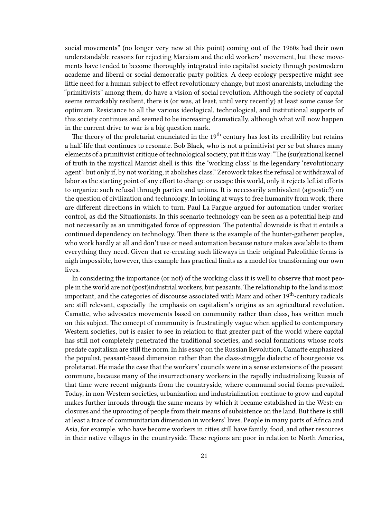social movements" (no longer very new at this point) coming out of the 1960s had their own understandable reasons for rejecting Marxism and the old workers' movement, but these movements have tended to become thoroughly integrated into capitalist society through postmodern academe and liberal or social democratic party politics. A deep ecology perspective might see little need for a human subject to effect revolutionary change, but most anarchists, including the "primitivists" among them, do have a vision of social revolution. Although the society of capital seems remarkably resilient, there is (or was, at least, until very recently) at least some cause for optimism. Resistance to all the various ideological, technological, and institutional supports of this society continues and seemed to be increasing dramatically, although what will now happen in the current drive to war is a big question mark.

The theory of the proletariat enunciated in the  $19<sup>th</sup>$  century has lost its credibility but retains a half-life that continues to resonate. Bob Black, who is not a primitivist per se but shares many elements of a primitivist critique of technological society, put it this way: "The (sur)rational kernel of truth in the mystical Marxist shell is this: the 'working class' is the legendary 'revolutionary agent': but only if, by not working, it abolishes class." Zerowork takes the refusal or withdrawal of labor as the starting point of any effort to change or escape this world, only it rejects leftist efforts to organize such refusal through parties and unions. It is necessarily ambivalent (agnostic?) on the question of civilization and technology. In looking at ways to free humanity from work, there are different directions in which to turn. Paul La Fargue argued for automation under worker control, as did the Situationists. In this scenario technology can be seen as a potential help and not necessarily as an unmitigated force of oppression. The potential downside is that it entails a continued dependency on technology. Then there is the example of the hunter-gatherer peoples, who work hardly at all and don't use or need automation because nature makes available to them everything they need. Given that re-creating such lifeways in their original Paleolithic forms is nigh impossible, however, this example has practical limits as a model for transforming our own lives.

In considering the importance (or not) of the working class it is well to observe that most people in the world are not (post)industrial workers, but peasants. The relationship to the land is most important, and the categories of discourse associated with Marx and other 19<sup>th</sup>-century radicals are still relevant, especially the emphasis on capitalism's origins as an agricultural revolution. Camatte, who advocates movements based on community rather than class, has written much on this subject. The concept of community is frustratingly vague when applied to contemporary Western societies, but is easier to see in relation to that greater part of the world where capital has still not completely penetrated the traditional societies, and social formations whose roots predate capitalism are still the norm. In his essay on the Russian Revolution, Camatte emphasized the populist, peasant-based dimension rather than the class-struggle dialectic of bourgeoisie vs. proletariat. He made the case that the workers' councils were in a sense extensions of the peasant commune, because many of the insurrectionary workers in the rapidly industrializing Russia of that time were recent migrants from the countryside, where communal social forms prevailed. Today, in non-Western societies, urbanization and industrialization continue to grow and capital makes further inroads through the same means by which it became established in the West: enclosures and the uprooting of people from their means of subsistence on the land. But there is still at least a trace of communitarian dimension in workers' lives. People in many parts of Africa and Asia, for example, who have become workers in cities still have family, food, and other resources in their native villages in the countryside. These regions are poor in relation to North America,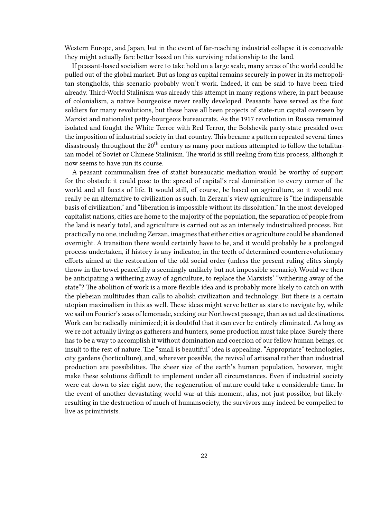Western Europe, and Japan, but in the event of far-reaching industrial collapse it is conceivable they might actually fare better based on this surviving relationship to the land.

If peasant-based socialism were to take hold on a large scale, many areas of the world could be pulled out of the global market. But as long as capital remains securely in power in its metropolitan stongholds, this scenario probably won't work. Indeed, it can be said to have been tried already. Third-World Stalinism was already this attempt in many regions where, in part because of colonialism, a native bourgeoisie never really developed. Peasants have served as the foot soldiers for many revolutions, but these have all been projects of state-run capital overseen by Marxist and nationalist petty-bourgeois bureaucrats. As the 1917 revolution in Russia remained isolated and fought the White Terror with Red Terror, the Bolshevik party-state presided over the imposition of industrial society in that country. This became a pattern repeated several times disastrously throughout the  $20<sup>th</sup>$  century as many poor nations attempted to follow the totalitarian model of Soviet or Chinese Stalinism. The world is still reeling from this process, although it now seems to have run its course.

A peasant communalism free of statist bureaucatic mediation would be worthy of support for the obstacle it could pose to the spread of capital's real domination to every corner of the world and all facets of life. It would still, of course, be based on agriculture, so it would not really be an alternative to civilization as such. In Zerzan's view agriculture is "the indispensable basis of civilization," and "liberation is impossible without its dissolution." In the most developed capitalist nations, cities are home to the majority of the population, the separation of people from the land is nearly total, and agriculture is carried out as an intensely industrialized process. But practically no one, including Zerzan, imagines that either cities or agriculture could be abandoned overnight. A transition there would certainly have to be, and it would probably be a prolonged process undertaken, if history is any indicator, in the teeth of determined counterrevolutionary efforts aimed at the restoration of the old social order (unless the present ruling elites simply throw in the towel peacefully a seemingly unlikely but not impossible scenario). Would we then be anticipating a withering away of agriculture, to replace the Marxists' "withering away of the state"? The abolition of work is a more flexible idea and is probably more likely to catch on with the plebeian multitudes than calls to abolish civilization and technology. But there is a certain utopian maximalism in this as well. These ideas might serve better as stars to navigate by, while we sail on Fourier's seas of lemonade, seeking our Northwest passage, than as actual destinations. Work can be radically minimized; it is doubtful that it can ever be entirely eliminated. As long as we're not actually living as gatherers and hunters, some production must take place. Surely there has to be a way to accomplish it without domination and coercion of our fellow human beings, or insult to the rest of nature. The "small is beautiful" idea is appealing. "Appropriate" technologies, city gardens (horticulture), and, wherever possible, the revival of artisanal rather than industrial production are possibilities. The sheer size of the earth's human population, however, might make these solutions difficult to implement under all circumstances. Even if industrial society were cut down to size right now, the regeneration of nature could take a considerable time. In the event of another devastating world war-at this moment, alas, not just possible, but likelyresulting in the destruction of much of humansociety, the survivors may indeed be compelled to live as primitivists.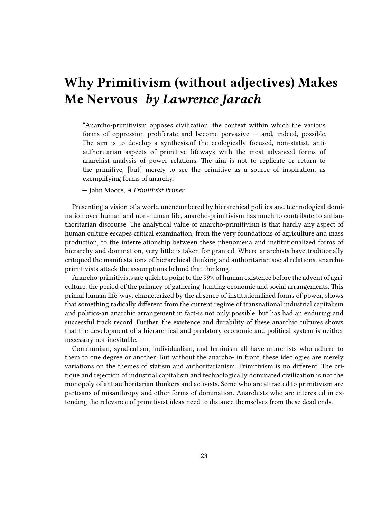## <span id="page-22-0"></span>**Why Primitivism (without adjectives) Makes Me Nervous** *by Lawrence Jarach*

"Anarcho-primitivism opposes civilization, the context within which the various forms of oppression proliferate and become pervasive — and, indeed, possible. The aim is to develop a synthesis.of the ecologically focused, non-statist, antiauthoritarian aspects of primitive lifeways with the most advanced forms of anarchist analysis of power relations. The aim is not to replicate or return to the primitive, [but] merely to see the primitive as a source of inspiration, as exemplifying forms of anarchy."

— John Moore, *A Primitivist Primer*

Presenting a vision of a world unencumbered by hierarchical politics and technological domination over human and non-human life, anarcho-primitivism has much to contribute to antiauthoritarian discourse. The analytical value of anarcho-primitivism is that hardly any aspect of human culture escapes critical examination; from the very foundations of agriculture and mass production, to the interrelationship between these phenomena and institutionalized forms of hierarchy and domination, very little is taken for granted. Where anarchists have traditionally critiqued the manifestations of hierarchical thinking and authoritarian social relations, anarchoprimitivists attack the assumptions behind that thinking.

Anarcho-primitivists are quick to point to the 99% of human existence before the advent of agriculture, the period of the primacy of gathering-hunting economic and social arrangements. This primal human life-way, characterized by the absence of institutionalized forms of power, shows that something radically different from the current regime of transnational industrial capitalism and politics-an anarchic arrangement in fact-is not only possible, but has had an enduring and successful track record. Further, the existence and durability of these anarchic cultures shows that the development of a hierarchical and predatory economic and political system is neither necessary nor inevitable.

Communism, syndicalism, individualism, and feminism all have anarchists who adhere to them to one degree or another. But without the anarcho- in front, these ideologies are merely variations on the themes of statism and authoritarianism. Primitivism is no different. The critique and rejection of industrial capitalism and technologically dominated civilization is not the monopoly of antiauthoritarian thinkers and activists. Some who are attracted to primitivism are partisans of misanthropy and other forms of domination. Anarchists who are interested in extending the relevance of primitivist ideas need to distance themselves from these dead ends.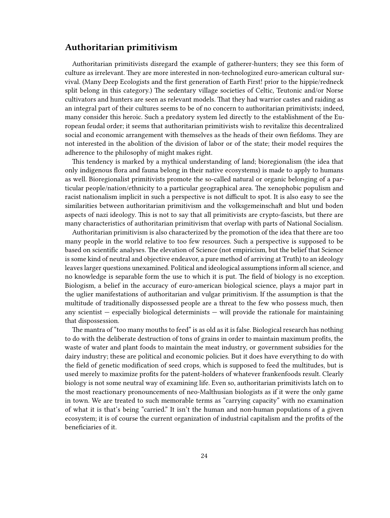#### <span id="page-23-0"></span>**Authoritarian primitivism**

Authoritarian primitivists disregard the example of gatherer-hunters; they see this form of culture as irrelevant. They are more interested in non-technologized euro-american cultural survival. (Many Deep Ecologists and the first generation of Earth First! prior to the hippie/redneck split belong in this category.) The sedentary village societies of Celtic, Teutonic and/or Norse cultivators and hunters are seen as relevant models. That they had warrior castes and raiding as an integral part of their cultures seems to be of no concern to authoritarian primitivists; indeed, many consider this heroic. Such a predatory system led directly to the establishment of the European feudal order; it seems that authoritarian primitivists wish to revitalize this decentralized social and economic arrangement with themselves as the heads of their own fiefdoms. They are not interested in the abolition of the division of labor or of the state; their model requires the adherence to the philosophy of might makes right.

This tendency is marked by a mythical understanding of land; bioregionalism (the idea that only indigenous flora and fauna belong in their native ecosystems) is made to apply to humans as well. Bioregionalist primitivists promote the so-called natural or organic belonging of a particular people/nation/ethnicity to a particular geographical area. The xenophobic populism and racist nationalism implicit in such a perspective is not difficult to spot. It is also easy to see the similarities between authoritarian primitivism and the volksgemeinschaft and blut und boden aspects of nazi ideology. This is not to say that all primitivists are crypto-fascists, but there are many characteristics of authoritarian primitivism that overlap with parts of National Socialism.

Authoritarian primitivism is also characterized by the promotion of the idea that there are too many people in the world relative to too few resources. Such a perspective is supposed to be based on scientific analyses. The elevation of Science (not empiricism, but the belief that Science is some kind of neutral and objective endeavor, a pure method of arriving at Truth) to an ideology leaves larger questions unexamined. Political and ideological assumptions inform all science, and no knowledge is separable form the use to which it is put. The field of biology is no exception. Biologism, a belief in the accuracy of euro-american biological science, plays a major part in the uglier manifestations of authoritarian and vulgar primitivism. If the assumption is that the multitude of traditionally dispossessed people are a threat to the few who possess much, then any scientist — especially biological determinists — will provide the rationale for maintaining that dispossession.

The mantra of "too many mouths to feed" is as old as it is false. Biological research has nothing to do with the deliberate destruction of tons of grains in order to maintain maximum profits, the waste of water and plant foods to maintain the meat industry, or government subsidies for the dairy industry; these are political and economic policies. But it does have everything to do with the field of genetic modification of seed crops, which is supposed to feed the multitudes, but is used merely to maximize profits for the patent-holders of whatever frankenfoods result. Clearly biology is not some neutral way of examining life. Even so, authoritarian primitivists latch on to the most reactionary pronouncements of neo-Malthusian biologists as if it were the only game in town. We are treated to such memorable terms as "carrying capacity" with no examination of what it is that's being "carried." It isn't the human and non-human populations of a given ecosystem; it is of course the current organization of industrial capitalism and the profits of the beneficiaries of it.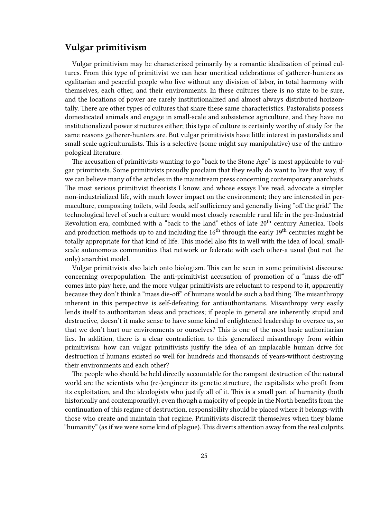#### <span id="page-24-0"></span>**Vulgar primitivism**

Vulgar primitivism may be characterized primarily by a romantic idealization of primal cultures. From this type of primitivist we can hear uncritical celebrations of gatherer-hunters as egalitarian and peaceful people who live without any division of labor, in total harmony with themselves, each other, and their environments. In these cultures there is no state to be sure, and the locations of power are rarely institutionalized and almost always distributed horizontally. There are other types of cultures that share these same characteristics. Pastoralists possess domesticated animals and engage in small-scale and subsistence agriculture, and they have no institutionalized power structures either; this type of culture is certainly worthy of study for the same reasons gatherer-hunters are. But vulgar primitivists have little interest in pastoralists and small-scale agriculturalists. This is a selective (some might say manipulative) use of the anthropological literature.

The accusation of primitivists wanting to go "back to the Stone Age" is most applicable to vulgar primitivists. Some primitivists proudly proclaim that they really do want to live that way, if we can believe many of the articles in the mainstream press concerning contemporary anarchists. The most serious primitivist theorists I know, and whose essays I've read, advocate a simpler non-industrialized life, with much lower impact on the environment; they are interested in permaculture, composting toilets, wild foods, self sufficiency and generally living "off the grid." The technological level of such a culture would most closely resemble rural life in the pre-Industrial Revolution era, combined with a "back to the land" ethos of late 20<sup>th</sup> century America. Tools and production methods up to and including the  $16<sup>th</sup>$  through the early  $19<sup>th</sup>$  centuries might be totally appropriate for that kind of life. This model also fits in well with the idea of local, smallscale autonomous communities that network or federate with each other-a usual (but not the only) anarchist model.

Vulgar primitivists also latch onto biologism. This can be seen in some primitivist discourse concerning overpopulation. The anti-primitivist accusation of promotion of a "mass die-off" comes into play here, and the more vulgar primitivists are reluctant to respond to it, apparently because they don't think a "mass die-off" of humans would be such a bad thing. The misanthropy inherent in this perspective is self-defeating for antiauthoritarians. Misanthropy very easily lends itself to authoritarian ideas and practices; if people in general are inherently stupid and destructive, doesn't it make sense to have some kind of enlightened leadership to oversee us, so that we don't hurt our environments or ourselves? This is one of the most basic authoritarian lies. In addition, there is a clear contradiction to this generalized misanthropy from within primitivism: how can vulgar primitivists justify the idea of an implacable human drive for destruction if humans existed so well for hundreds and thousands of years-without destroying their environments and each other?

The people who should be held directly accountable for the rampant destruction of the natural world are the scientists who (re-)engineer its genetic structure, the capitalists who profit from its exploitation, and the ideologists who justify all of it. This is a small part of humanity (both historically and contemporarily); even though a majority of people in the North benefits from the continuation of this regime of destruction, responsibility should be placed where it belongs-with those who create and maintain that regime. Primitivists discredit themselves when they blame "humanity" (as if we were some kind of plague). This diverts attention away from the real culprits.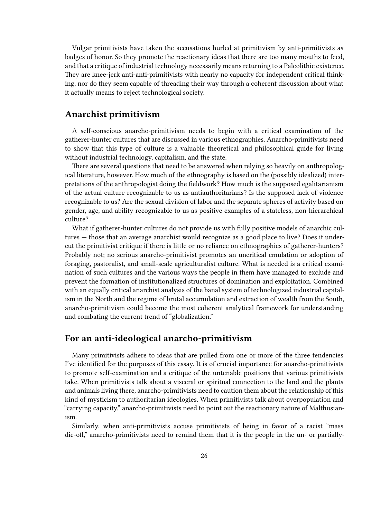Vulgar primitivists have taken the accusations hurled at primitivism by anti-primitivists as badges of honor. So they promote the reactionary ideas that there are too many mouths to feed, and that a critique of industrial technology necessarily means returning to a Paleolithic existence. They are knee-jerk anti-anti-primitivists with nearly no capacity for independent critical thinking, nor do they seem capable of threading their way through a coherent discussion about what it actually means to reject technological society.

#### <span id="page-25-0"></span>**Anarchist primitivism**

A self-conscious anarcho-primitivism needs to begin with a critical examination of the gatherer-hunter cultures that are discussed in various ethnographies. Anarcho-primitivists need to show that this type of culture is a valuable theoretical and philosophical guide for living without industrial technology, capitalism, and the state.

There are several questions that need to be answered when relying so heavily on anthropological literature, however. How much of the ethnography is based on the (possibly idealized) interpretations of the anthropologist doing the fieldwork? How much is the supposed egalitarianism of the actual culture recognizable to us as antiauthoritarians? Is the supposed lack of violence recognizable to us? Are the sexual division of labor and the separate spheres of activity based on gender, age, and ability recognizable to us as positive examples of a stateless, non-hierarchical culture?

What if gatherer-hunter cultures do not provide us with fully positive models of anarchic cultures — those that an average anarchist would recognize as a good place to live? Does it undercut the primitivist critique if there is little or no reliance on ethnographies of gatherer-hunters? Probably not; no serious anarcho-primitivist promotes an uncritical emulation or adoption of foraging, pastoralist, and small-scale agriculturalist culture. What is needed is a critical examination of such cultures and the various ways the people in them have managed to exclude and prevent the formation of institutionalized structures of domination and exploitation. Combined with an equally critical anarchist analysis of the banal system of technologized industrial capitalism in the North and the regime of brutal accumulation and extraction of wealth from the South, anarcho-primitivism could become the most coherent analytical framework for understanding and combating the current trend of "globalization."

#### <span id="page-25-1"></span>**For an anti-ideological anarcho-primitivism**

Many primitivists adhere to ideas that are pulled from one or more of the three tendencies I've identified for the purposes of this essay. It is of crucial importance for anarcho-primitivists to promote self-examination and a critique of the untenable positions that various primitivists take. When primitivists talk about a visceral or spiritual connection to the land and the plants and animals living there, anarcho-primitivists need to caution them about the relationship of this kind of mysticism to authoritarian ideologies. When primitivists talk about overpopulation and "carrying capacity," anarcho-primitivists need to point out the reactionary nature of Malthusianism.

Similarly, when anti-primitivists accuse primitivists of being in favor of a racist "mass die-off," anarcho-primitivists need to remind them that it is the people in the un- or partially-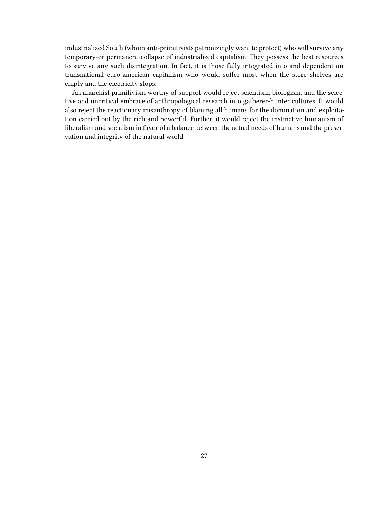industrialized South (whom anti-primitivists patronizingly want to protect) who will survive any temporary-or permanent-collapse of industrialized capitalism. They possess the best resources to survive any such disintegration. In fact, it is those fully integrated into and dependent on transnational euro-american capitalism who would suffer most when the store shelves are empty and the electricity stops.

An anarchist primitivism worthy of support would reject scientism, biologism, and the selective and uncritical embrace of anthropological research into gatherer-hunter cultures. It would also reject the reactionary misanthropy of blaming all humans for the domination and exploitation carried out by the rich and powerful. Further, it would reject the instinctive humanism of liberalism and socialism in favor of a balance between the actual needs of humans and the preservation and integrity of the natural world.